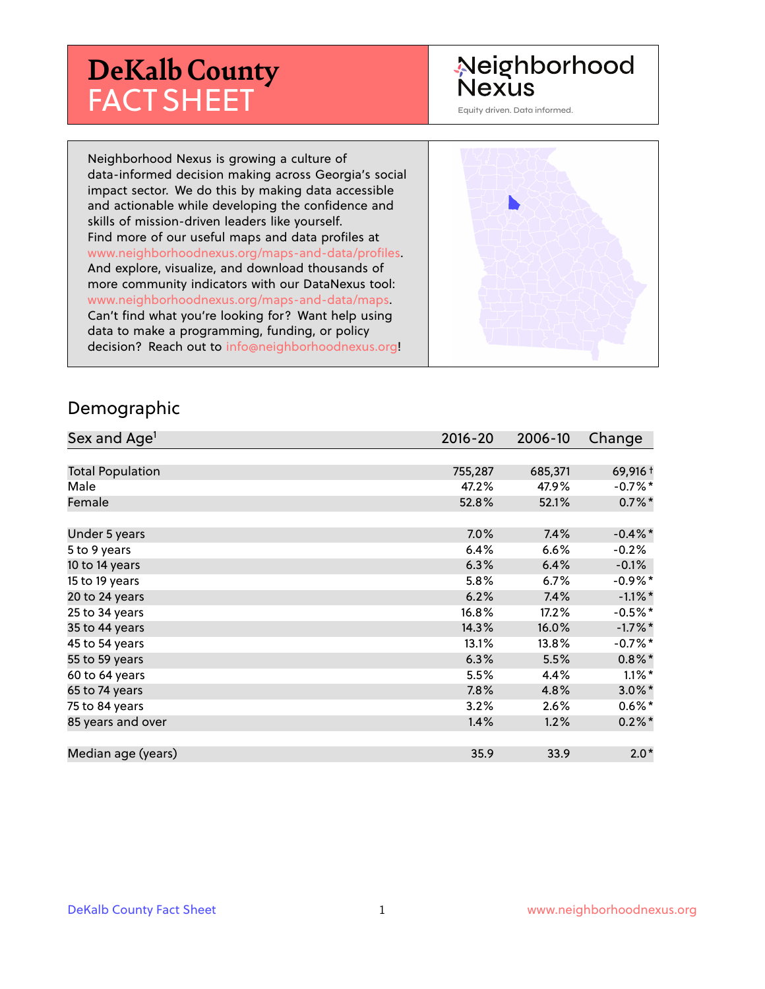# **DeKalb County** FACT SHEET

## Neighborhood **Nexus**

Equity driven. Data informed.

Neighborhood Nexus is growing a culture of data-informed decision making across Georgia's social impact sector. We do this by making data accessible and actionable while developing the confidence and skills of mission-driven leaders like yourself. Find more of our useful maps and data profiles at www.neighborhoodnexus.org/maps-and-data/profiles. And explore, visualize, and download thousands of more community indicators with our DataNexus tool: www.neighborhoodnexus.org/maps-and-data/maps. Can't find what you're looking for? Want help using data to make a programming, funding, or policy decision? Reach out to [info@neighborhoodnexus.org!](mailto:info@neighborhoodnexus.org)



#### Demographic

| Sex and Age <sup>1</sup> | $2016 - 20$ | 2006-10 | Change               |
|--------------------------|-------------|---------|----------------------|
|                          |             |         |                      |
| <b>Total Population</b>  | 755,287     | 685,371 | 69,916 +             |
| Male                     | 47.2%       | 47.9%   | $-0.7\%$ *           |
| Female                   | 52.8%       | 52.1%   | $0.7\%$ <sup>*</sup> |
|                          |             |         |                      |
| Under 5 years            | 7.0%        | 7.4%    | $-0.4\%$ *           |
| 5 to 9 years             | 6.4%        | 6.6%    | $-0.2%$              |
| 10 to 14 years           | 6.3%        | 6.4%    | $-0.1%$              |
| 15 to 19 years           | 5.8%        | 6.7%    | $-0.9%$ *            |
| 20 to 24 years           | 6.2%        | 7.4%    | $-1.1\%$ *           |
| 25 to 34 years           | 16.8%       | 17.2%   | $-0.5%$ *            |
| 35 to 44 years           | 14.3%       | 16.0%   | $-1.7%$ *            |
| 45 to 54 years           | 13.1%       | 13.8%   | $-0.7%$ *            |
| 55 to 59 years           | 6.3%        | 5.5%    | $0.8\%$ *            |
| 60 to 64 years           | 5.5%        | 4.4%    | $1.1\%$ *            |
| 65 to 74 years           | 7.8%        | 4.8%    | $3.0\%$ *            |
| 75 to 84 years           | 3.2%        | 2.6%    | $0.6\%*$             |
| 85 years and over        | 1.4%        | 1.2%    | $0.2\%$ *            |
|                          |             |         |                      |
| Median age (years)       | 35.9        | 33.9    | $2.0*$               |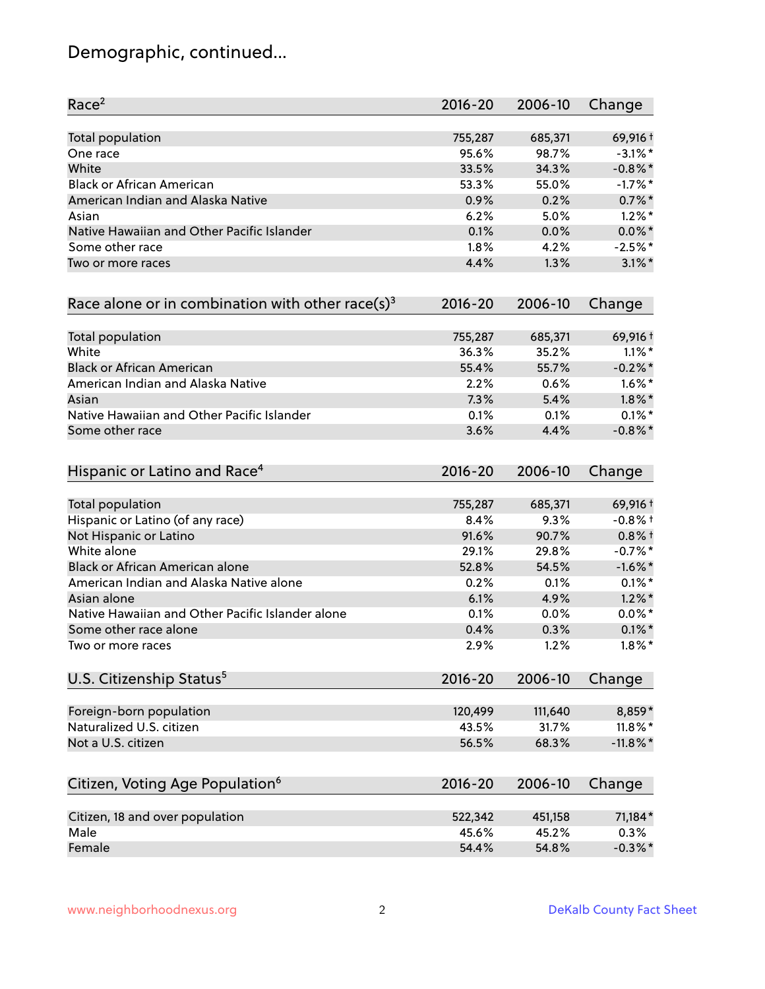## Demographic, continued...

| Race <sup>2</sup>                                            | $2016 - 20$ | 2006-10 | Change      |
|--------------------------------------------------------------|-------------|---------|-------------|
| <b>Total population</b>                                      | 755,287     | 685,371 | 69,916 +    |
| One race                                                     | 95.6%       | 98.7%   | $-3.1\%$ *  |
| White                                                        | 33.5%       | 34.3%   | $-0.8\%$ *  |
| <b>Black or African American</b>                             | 53.3%       | 55.0%   | $-1.7%$ *   |
| American Indian and Alaska Native                            | 0.9%        | 0.2%    | $0.7%$ *    |
| Asian                                                        | 6.2%        | 5.0%    | $1.2\%$ *   |
| Native Hawaiian and Other Pacific Islander                   | 0.1%        | 0.0%    | $0.0\%$ *   |
| Some other race                                              | 1.8%        | 4.2%    | $-2.5%$ *   |
| Two or more races                                            | 4.4%        | 1.3%    | $3.1\%$ *   |
| Race alone or in combination with other race(s) <sup>3</sup> | $2016 - 20$ | 2006-10 | Change      |
| Total population                                             | 755,287     | 685,371 | 69,916+     |
| White                                                        | 36.3%       | 35.2%   | $1.1\%$ *   |
| <b>Black or African American</b>                             | 55.4%       | 55.7%   | $-0.2\%$ *  |
| American Indian and Alaska Native                            | 2.2%        | 0.6%    | $1.6\%$ *   |
| Asian                                                        | 7.3%        | 5.4%    | $1.8\%$ *   |
| Native Hawaiian and Other Pacific Islander                   | 0.1%        | 0.1%    | $0.1\%$ *   |
| Some other race                                              | 3.6%        | 4.4%    | $-0.8\%$ *  |
| Hispanic or Latino and Race <sup>4</sup>                     | $2016 - 20$ | 2006-10 | Change      |
| Total population                                             | 755,287     | 685,371 | 69,916+     |
| Hispanic or Latino (of any race)                             | 8.4%        | 9.3%    | $-0.8%$ +   |
| Not Hispanic or Latino                                       | 91.6%       | 90.7%   | $0.8%$ +    |
| White alone                                                  | 29.1%       | 29.8%   | $-0.7%$ *   |
| Black or African American alone                              | 52.8%       | 54.5%   | $-1.6\%$ *  |
| American Indian and Alaska Native alone                      | 0.2%        | 0.1%    | $0.1\%$ *   |
| Asian alone                                                  | 6.1%        | 4.9%    | $1.2\%$ *   |
| Native Hawaiian and Other Pacific Islander alone             | 0.1%        | $0.0\%$ | $0.0\%$ *   |
| Some other race alone                                        | 0.4%        | 0.3%    | $0.1\%$ *   |
| Two or more races                                            | 2.9%        | 1.2%    | $1.8\%$ *   |
| U.S. Citizenship Status <sup>5</sup>                         | $2016 - 20$ | 2006-10 | Change      |
| Foreign-born population                                      | 120,499     | 111,640 | 8,859*      |
| Naturalized U.S. citizen                                     | 43.5%       | 31.7%   | $11.8\%$ *  |
| Not a U.S. citizen                                           | 56.5%       | 68.3%   | $-11.8\%$ * |
|                                                              | $2016 - 20$ | 2006-10 |             |
| Citizen, Voting Age Population <sup>6</sup>                  |             |         | Change      |
| Citizen, 18 and over population                              | 522,342     | 451,158 | 71,184*     |
| Male                                                         | 45.6%       | 45.2%   | 0.3%        |
| Female                                                       | 54.4%       | 54.8%   | $-0.3\%$ *  |
|                                                              |             |         |             |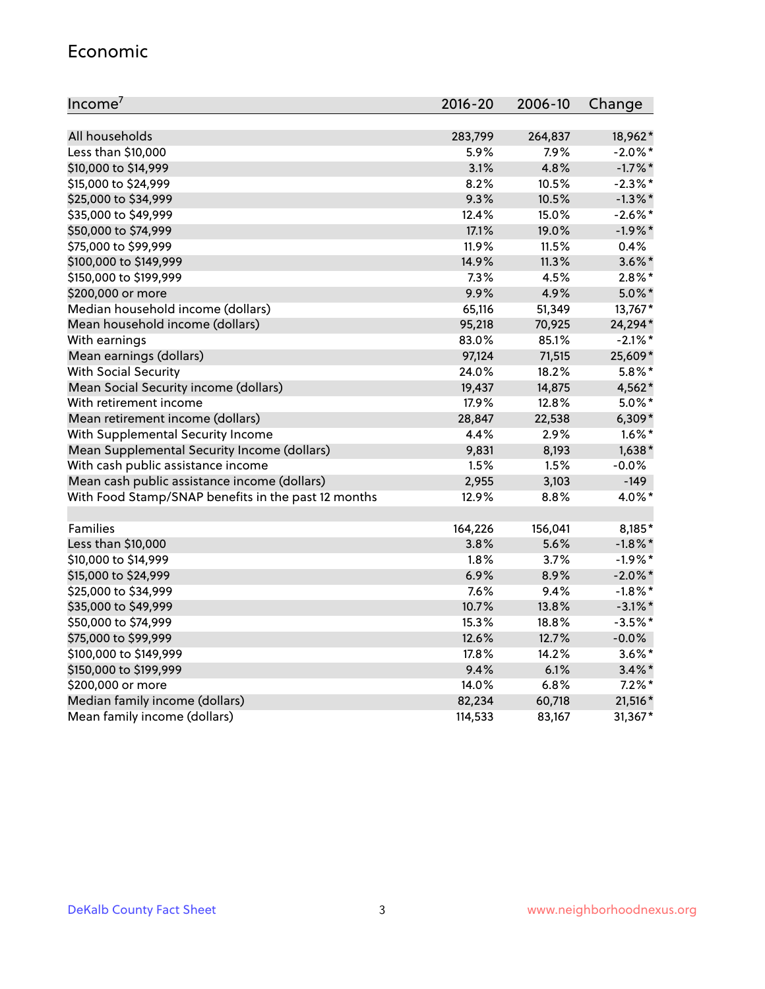#### Economic

| Income <sup>7</sup>                                 | 2016-20  | 2006-10 | Change     |
|-----------------------------------------------------|----------|---------|------------|
|                                                     |          |         |            |
| All households                                      | 283,799  | 264,837 | 18,962*    |
| Less than \$10,000                                  | 5.9%     | 7.9%    | $-2.0\%$ * |
| \$10,000 to \$14,999                                | 3.1%     | 4.8%    | $-1.7\%$ * |
| \$15,000 to \$24,999                                | 8.2%     | 10.5%   | $-2.3\%$ * |
| \$25,000 to \$34,999                                | 9.3%     | 10.5%   | $-1.3\%$ * |
| \$35,000 to \$49,999                                | 12.4%    | 15.0%   | $-2.6\%$ * |
| \$50,000 to \$74,999                                | 17.1%    | 19.0%   | $-1.9%$ *  |
| \$75,000 to \$99,999                                | 11.9%    | 11.5%   | 0.4%       |
| \$100,000 to \$149,999                              | 14.9%    | 11.3%   | $3.6\%$ *  |
| \$150,000 to \$199,999                              | 7.3%     | 4.5%    | $2.8\%$ *  |
| \$200,000 or more                                   | 9.9%     | 4.9%    | $5.0\%$ *  |
| Median household income (dollars)                   | 65,116   | 51,349  | 13,767*    |
| Mean household income (dollars)                     | 95,218   | 70,925  | 24,294*    |
| With earnings                                       | 83.0%    | 85.1%   | $-2.1\%$ * |
| Mean earnings (dollars)                             | 97,124   | 71,515  | 25,609*    |
| <b>With Social Security</b>                         | 24.0%    | 18.2%   | $5.8\%$ *  |
| Mean Social Security income (dollars)               | 19,437   | 14,875  | 4,562*     |
| With retirement income                              | 17.9%    | 12.8%   | $5.0\%$ *  |
| Mean retirement income (dollars)                    | 28,847   | 22,538  | $6,309*$   |
| With Supplemental Security Income                   | 4.4%     | 2.9%    | $1.6\%$ *  |
| Mean Supplemental Security Income (dollars)         | 9,831    | 8,193   | $1,638*$   |
| With cash public assistance income                  | 1.5%     | 1.5%    | $-0.0%$    |
| Mean cash public assistance income (dollars)        | 2,955    | 3,103   | $-149$     |
| With Food Stamp/SNAP benefits in the past 12 months | 12.9%    | 8.8%    | 4.0%*      |
|                                                     |          |         |            |
| Families                                            | 164,226  | 156,041 | 8,185*     |
| Less than \$10,000                                  | 3.8%     | 5.6%    | $-1.8\%$ * |
| \$10,000 to \$14,999                                | 1.8%     | 3.7%    | $-1.9%$ *  |
| \$15,000 to \$24,999                                | 6.9%     | 8.9%    | $-2.0\%$ * |
| \$25,000 to \$34,999                                | 7.6%     | 9.4%    | $-1.8\%$ * |
| \$35,000 to \$49,999                                | 10.7%    | 13.8%   | $-3.1\%$ * |
| \$50,000 to \$74,999                                | 15.3%    | 18.8%   | $-3.5%$ *  |
| \$75,000 to \$99,999                                | 12.6%    | 12.7%   | $-0.0%$    |
| \$100,000 to \$149,999                              | $17.8\%$ | 14.2%   | $3.6\%$ *  |
| \$150,000 to \$199,999                              | 9.4%     | 6.1%    | $3.4\%$ *  |
| \$200,000 or more                                   | 14.0%    | 6.8%    | $7.2\%$ *  |
| Median family income (dollars)                      | 82,234   | 60,718  | 21,516*    |
| Mean family income (dollars)                        | 114,533  | 83,167  | 31,367*    |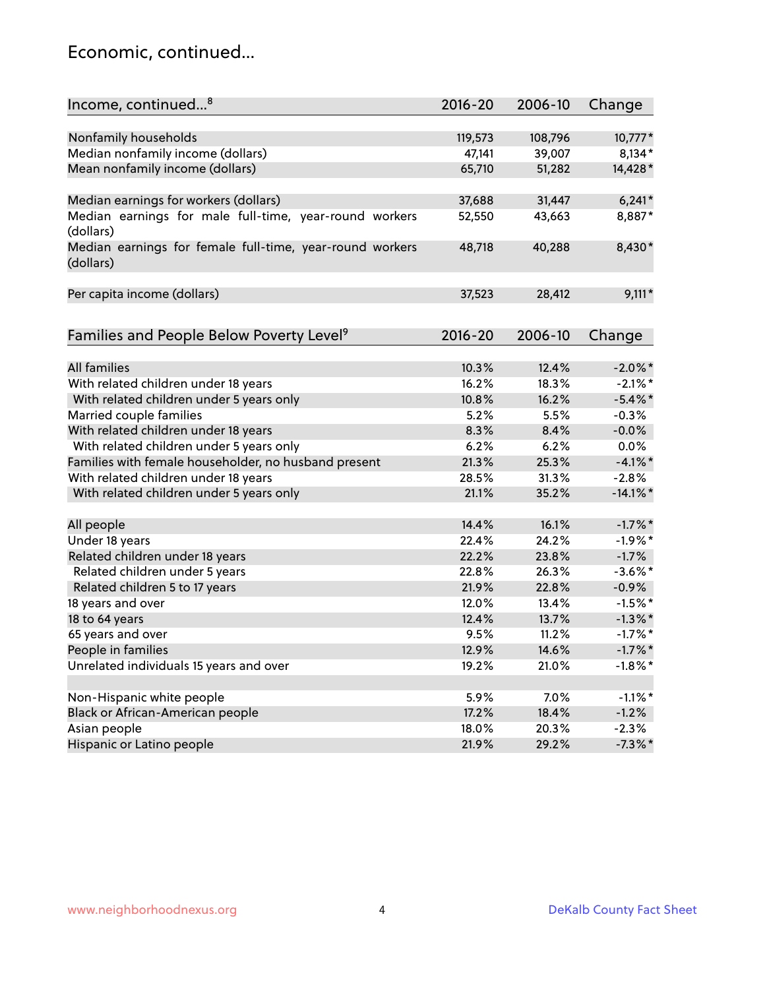### Economic, continued...

| Income, continued <sup>8</sup>                                        | $2016 - 20$ | 2006-10 | Change      |
|-----------------------------------------------------------------------|-------------|---------|-------------|
|                                                                       |             |         |             |
| Nonfamily households                                                  | 119,573     | 108,796 | 10,777*     |
| Median nonfamily income (dollars)                                     | 47,141      | 39,007  | 8,134*      |
| Mean nonfamily income (dollars)                                       | 65,710      | 51,282  | 14,428*     |
| Median earnings for workers (dollars)                                 | 37,688      | 31,447  | $6,241*$    |
| Median earnings for male full-time, year-round workers<br>(dollars)   | 52,550      | 43,663  | 8,887*      |
| Median earnings for female full-time, year-round workers<br>(dollars) | 48,718      | 40,288  | 8,430*      |
| Per capita income (dollars)                                           | 37,523      | 28,412  | $9,111*$    |
| Families and People Below Poverty Level <sup>9</sup>                  | $2016 - 20$ | 2006-10 | Change      |
|                                                                       |             |         |             |
| <b>All families</b>                                                   | 10.3%       | 12.4%   | $-2.0\%$ *  |
| With related children under 18 years                                  | 16.2%       | 18.3%   | $-2.1\%$ *  |
| With related children under 5 years only                              | 10.8%       | 16.2%   | $-5.4\%$ *  |
| Married couple families                                               | 5.2%        | 5.5%    | $-0.3%$     |
| With related children under 18 years                                  | 8.3%        | 8.4%    | $-0.0%$     |
| With related children under 5 years only                              | 6.2%        | 6.2%    | 0.0%        |
| Families with female householder, no husband present                  | 21.3%       | 25.3%   | $-4.1\%$ *  |
| With related children under 18 years                                  | 28.5%       | 31.3%   | $-2.8%$     |
| With related children under 5 years only                              | 21.1%       | 35.2%   | $-14.1\%$ * |
| All people                                                            | 14.4%       | 16.1%   | $-1.7%$ *   |
| Under 18 years                                                        | 22.4%       | 24.2%   | $-1.9%$ *   |
| Related children under 18 years                                       | 22.2%       | 23.8%   | $-1.7%$     |
| Related children under 5 years                                        | 22.8%       | 26.3%   | $-3.6\%$ *  |
| Related children 5 to 17 years                                        | 21.9%       | 22.8%   | $-0.9%$     |
| 18 years and over                                                     | 12.0%       | 13.4%   | $-1.5%$ *   |
| 18 to 64 years                                                        | 12.4%       | 13.7%   | $-1.3\%$ *  |
| 65 years and over                                                     | 9.5%        | 11.2%   | $-1.7%$ *   |
| People in families                                                    | 12.9%       | 14.6%   | $-1.7\%$ *  |
| Unrelated individuals 15 years and over                               | 19.2%       | 21.0%   | $-1.8\%$ *  |
|                                                                       |             |         |             |
| Non-Hispanic white people                                             | 5.9%        | 7.0%    | $-1.1\%$ *  |
| Black or African-American people                                      | 17.2%       | 18.4%   | $-1.2%$     |
| Asian people                                                          | 18.0%       | 20.3%   | $-2.3%$     |
| Hispanic or Latino people                                             | 21.9%       | 29.2%   | $-7.3\%$ *  |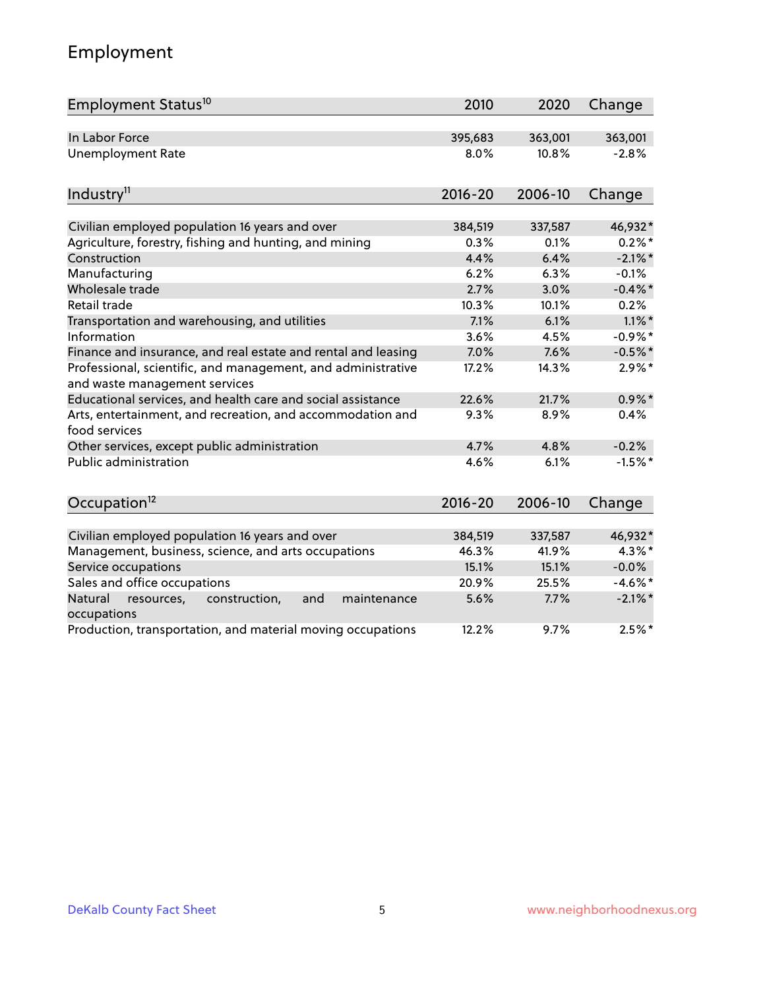## Employment

| Employment Status <sup>10</sup>                                                               | 2010        | 2020    | Change     |
|-----------------------------------------------------------------------------------------------|-------------|---------|------------|
| In Labor Force                                                                                | 395,683     | 363,001 | 363,001    |
| <b>Unemployment Rate</b>                                                                      | 8.0%        | 10.8%   | $-2.8%$    |
| Industry <sup>11</sup>                                                                        | $2016 - 20$ | 2006-10 | Change     |
| Civilian employed population 16 years and over                                                | 384,519     | 337,587 | 46,932*    |
| Agriculture, forestry, fishing and hunting, and mining                                        | 0.3%        | 0.1%    | $0.2\% *$  |
| Construction                                                                                  | 4.4%        | 6.4%    | $-2.1\%$ * |
| Manufacturing                                                                                 | 6.2%        | 6.3%    | $-0.1%$    |
| Wholesale trade                                                                               | 2.7%        | 3.0%    | $-0.4\%$ * |
| Retail trade                                                                                  | 10.3%       | 10.1%   | 0.2%       |
| Transportation and warehousing, and utilities                                                 | 7.1%        | 6.1%    | $1.1\%$ *  |
| Information                                                                                   | 3.6%        | 4.5%    | $-0.9%$ *  |
| Finance and insurance, and real estate and rental and leasing                                 | 7.0%        | 7.6%    | $-0.5%$ *  |
| Professional, scientific, and management, and administrative<br>and waste management services | 17.2%       | 14.3%   | $2.9\%$ *  |
| Educational services, and health care and social assistance                                   | 22.6%       | 21.7%   | $0.9\%$ *  |
| Arts, entertainment, and recreation, and accommodation and<br>food services                   | 9.3%        | 8.9%    | 0.4%       |
| Other services, except public administration                                                  | 4.7%        | 4.8%    | $-0.2%$    |
| <b>Public administration</b>                                                                  | 4.6%        | 6.1%    | $-1.5%$ *  |
| Occupation <sup>12</sup>                                                                      | $2016 - 20$ | 2006-10 | Change     |
| Civilian employed population 16 years and over                                                | 384,519     | 337,587 | 46,932*    |
| Management, business, science, and arts occupations                                           | 46.3%       | 41.9%   | $4.3\%$ *  |
| Service occupations                                                                           | 15.1%       | 15.1%   | $-0.0\%$   |
| Sales and office occupations                                                                  | 20.9%       | 25.5%   | $-4.6\%$ * |
| Natural<br>resources,<br>construction,<br>and<br>maintenance                                  | 5.6%        | 7.7%    | $-2.1\%$ * |
| occupations                                                                                   |             |         |            |
| Production, transportation, and material moving occupations                                   | 12.2%       | 9.7%    | $2.5%$ *   |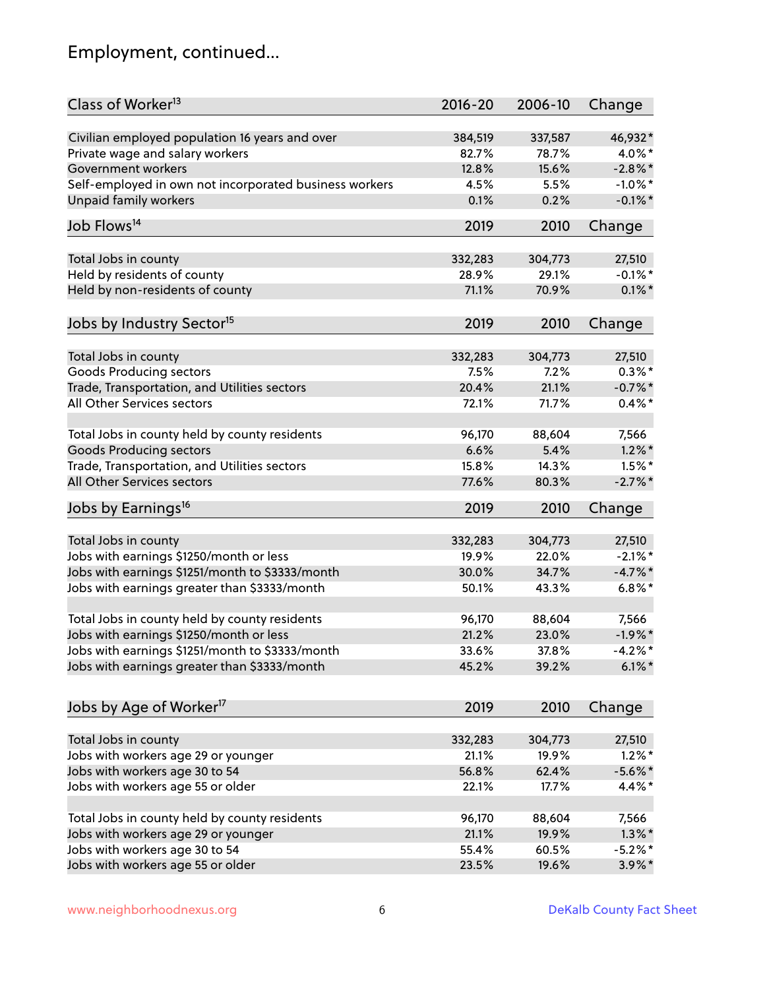## Employment, continued...

| Class of Worker <sup>13</sup>                          | 2016-20 | 2006-10 | Change     |
|--------------------------------------------------------|---------|---------|------------|
| Civilian employed population 16 years and over         | 384,519 | 337,587 | 46,932*    |
| Private wage and salary workers                        | 82.7%   | 78.7%   | 4.0%*      |
| <b>Government workers</b>                              | 12.8%   | 15.6%   | $-2.8\%$ * |
| Self-employed in own not incorporated business workers | 4.5%    | 5.5%    | $-1.0\%$ * |
| Unpaid family workers                                  | 0.1%    | 0.2%    | $-0.1\%$ * |
| Job Flows <sup>14</sup>                                | 2019    | 2010    | Change     |
|                                                        |         |         |            |
| Total Jobs in county                                   | 332,283 | 304,773 | 27,510     |
| Held by residents of county                            | 28.9%   | 29.1%   | $-0.1\%$ * |
| Held by non-residents of county                        | 71.1%   | 70.9%   | $0.1\%$ *  |
| Jobs by Industry Sector <sup>15</sup>                  | 2019    | 2010    | Change     |
|                                                        |         |         |            |
| Total Jobs in county                                   | 332,283 | 304,773 | 27,510     |
| <b>Goods Producing sectors</b>                         | 7.5%    | 7.2%    | $0.3\%$ *  |
| Trade, Transportation, and Utilities sectors           | 20.4%   | 21.1%   | $-0.7%$ *  |
| All Other Services sectors                             | 72.1%   | 71.7%   | $0.4\%$ *  |
|                                                        |         |         |            |
| Total Jobs in county held by county residents          | 96,170  | 88,604  | 7,566      |
| <b>Goods Producing sectors</b>                         | 6.6%    | 5.4%    | $1.2\%$ *  |
| Trade, Transportation, and Utilities sectors           | 15.8%   | 14.3%   | $1.5\%$ *  |
| All Other Services sectors                             | 77.6%   | 80.3%   | $-2.7\%$ * |
| Jobs by Earnings <sup>16</sup>                         | 2019    | 2010    | Change     |
| Total Jobs in county                                   | 332,283 | 304,773 | 27,510     |
| Jobs with earnings \$1250/month or less                | 19.9%   | 22.0%   | $-2.1\%$ * |
| Jobs with earnings \$1251/month to \$3333/month        | 30.0%   | 34.7%   | $-4.7%$ *  |
| Jobs with earnings greater than \$3333/month           | 50.1%   | 43.3%   | $6.8\%$ *  |
|                                                        |         |         |            |
| Total Jobs in county held by county residents          | 96,170  | 88,604  | 7,566      |
| Jobs with earnings \$1250/month or less                | 21.2%   | 23.0%   | $-1.9%$ *  |
| Jobs with earnings \$1251/month to \$3333/month        | 33.6%   | 37.8%   | $-4.2%$ *  |
| Jobs with earnings greater than \$3333/month           | 45.2%   | 39.2%   | $6.1\%$ *  |
| Jobs by Age of Worker <sup>17</sup>                    | 2019    | 2010    | Change     |
|                                                        |         |         |            |
| Total Jobs in county                                   | 332,283 | 304,773 | 27,510     |
| Jobs with workers age 29 or younger                    | 21.1%   | 19.9%   | $1.2\%$ *  |
| Jobs with workers age 30 to 54                         | 56.8%   | 62.4%   | $-5.6\%$ * |
| Jobs with workers age 55 or older                      | 22.1%   | 17.7%   | 4.4%*      |
| Total Jobs in county held by county residents          | 96,170  | 88,604  | 7,566      |
| Jobs with workers age 29 or younger                    | 21.1%   | 19.9%   | $1.3\%$ *  |
| Jobs with workers age 30 to 54                         | 55.4%   | 60.5%   | $-5.2%$ *  |
| Jobs with workers age 55 or older                      | 23.5%   | 19.6%   | $3.9\%$ *  |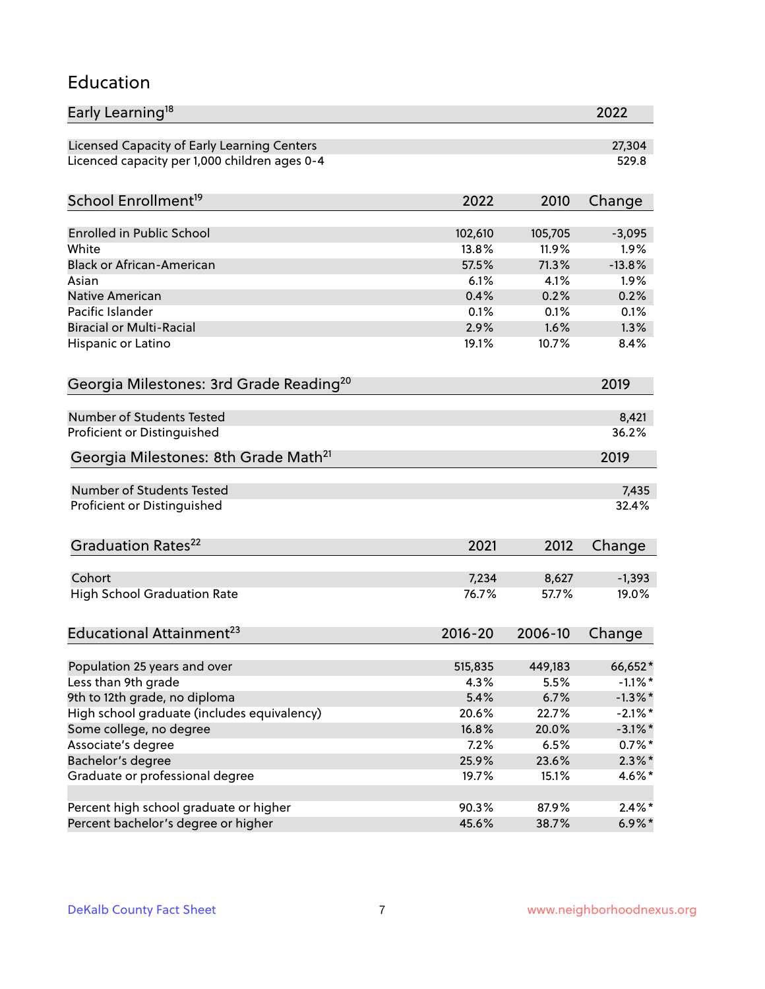#### Education

| Early Learning <sup>18</sup>                        |             |         | 2022       |
|-----------------------------------------------------|-------------|---------|------------|
| Licensed Capacity of Early Learning Centers         |             |         | 27,304     |
| Licenced capacity per 1,000 children ages 0-4       |             |         | 529.8      |
| School Enrollment <sup>19</sup>                     | 2022        | 2010    | Change     |
|                                                     |             |         |            |
| <b>Enrolled in Public School</b>                    | 102,610     | 105,705 | $-3,095$   |
| White                                               | 13.8%       | 11.9%   | 1.9%       |
| <b>Black or African-American</b>                    | 57.5%       | 71.3%   | $-13.8%$   |
| Asian                                               | 6.1%        | 4.1%    | 1.9%       |
| Native American                                     | 0.4%        | 0.2%    | 0.2%       |
| Pacific Islander                                    | 0.1%        | 0.1%    | 0.1%       |
| <b>Biracial or Multi-Racial</b>                     | 2.9%        | 1.6%    | 1.3%       |
| Hispanic or Latino                                  | 19.1%       | 10.7%   | 8.4%       |
| Georgia Milestones: 3rd Grade Reading <sup>20</sup> |             |         | 2019       |
|                                                     |             |         |            |
| Number of Students Tested                           |             |         | 8,421      |
| Proficient or Distinguished                         |             |         | 36.2%      |
| Georgia Milestones: 8th Grade Math <sup>21</sup>    |             |         | 2019       |
| Number of Students Tested                           |             |         | 7,435      |
|                                                     |             |         | 32.4%      |
| Proficient or Distinguished                         |             |         |            |
| Graduation Rates <sup>22</sup>                      | 2021        | 2012    | Change     |
| Cohort                                              | 7,234       | 8,627   | $-1,393$   |
| <b>High School Graduation Rate</b>                  | 76.7%       | 57.7%   | 19.0%      |
|                                                     |             |         |            |
| Educational Attainment <sup>23</sup>                | $2016 - 20$ | 2006-10 | Change     |
| Population 25 years and over                        | 515,835     | 449,183 | 66,652*    |
| Less than 9th grade                                 | 4.3%        | 5.5%    | $-1.1\%$ * |
| 9th to 12th grade, no diploma                       | 5.4%        | 6.7%    | $-1.3\%$ * |
| High school graduate (includes equivalency)         | 20.6%       | 22.7%   | $-2.1\%$ * |
| Some college, no degree                             | 16.8%       | 20.0%   | $-3.1\%$ * |
| Associate's degree                                  | $7.2\%$     | 6.5%    | $0.7\%$ *  |
| Bachelor's degree                                   | 25.9%       | 23.6%   | $2.3\%$ *  |
| Graduate or professional degree                     | 19.7%       | 15.1%   | $4.6\%$ *  |
|                                                     |             |         |            |
| Percent high school graduate or higher              | 90.3%       | 87.9%   | $2.4\%$ *  |
| Percent bachelor's degree or higher                 | 45.6%       | 38.7%   | $6.9\%$ *  |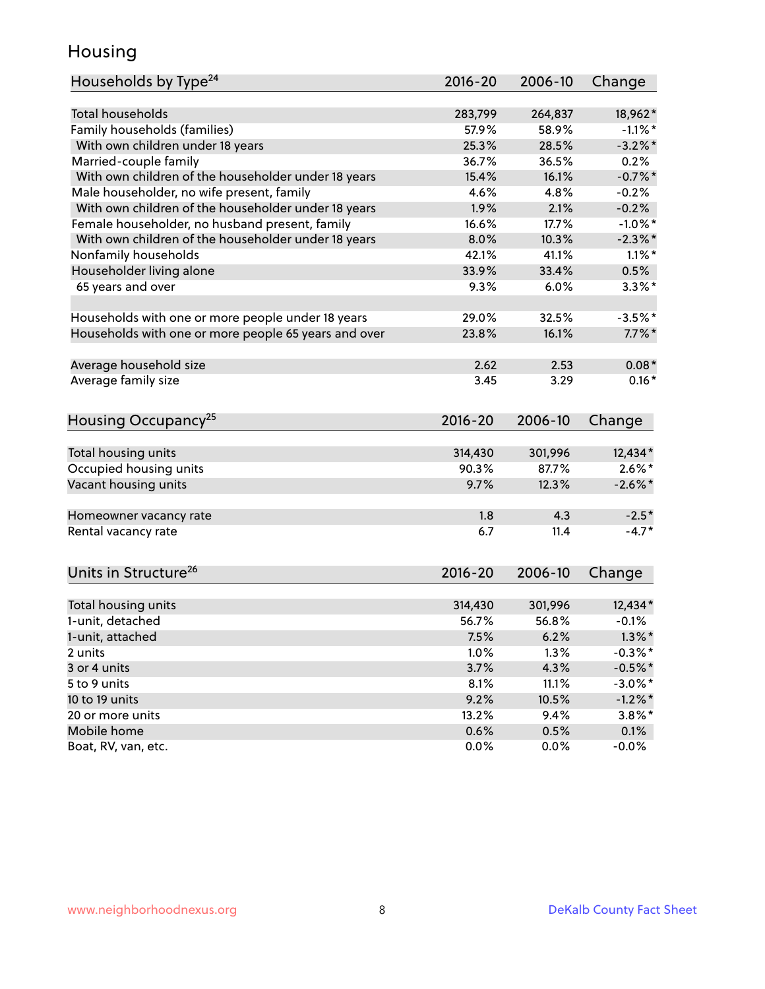### Housing

| Households by Type <sup>24</sup>                     | 2016-20     | 2006-10 | Change     |
|------------------------------------------------------|-------------|---------|------------|
|                                                      |             |         |            |
| <b>Total households</b>                              | 283,799     | 264,837 | 18,962*    |
| Family households (families)                         | 57.9%       | 58.9%   | $-1.1\%$ * |
| With own children under 18 years                     | 25.3%       | 28.5%   | $-3.2\%$ * |
| Married-couple family                                | 36.7%       | 36.5%   | 0.2%       |
| With own children of the householder under 18 years  | 15.4%       | 16.1%   | $-0.7%$ *  |
| Male householder, no wife present, family            | 4.6%        | 4.8%    | $-0.2%$    |
| With own children of the householder under 18 years  | 1.9%        | 2.1%    | $-0.2%$    |
| Female householder, no husband present, family       | 16.6%       | 17.7%   | $-1.0\%$ * |
| With own children of the householder under 18 years  | 8.0%        | 10.3%   | $-2.3\%$ * |
| Nonfamily households                                 | 42.1%       | 41.1%   | $1.1\%$ *  |
| Householder living alone                             | 33.9%       | 33.4%   | 0.5%       |
| 65 years and over                                    | 9.3%        | 6.0%    | $3.3\%$ *  |
| Households with one or more people under 18 years    | 29.0%       | 32.5%   | $-3.5%$ *  |
| Households with one or more people 65 years and over | 23.8%       | 16.1%   | $7.7\%$ *  |
|                                                      |             |         |            |
| Average household size                               | 2.62        | 2.53    | $0.08*$    |
| Average family size                                  | 3.45        | 3.29    | $0.16*$    |
| Housing Occupancy <sup>25</sup>                      | $2016 - 20$ | 2006-10 | Change     |
|                                                      |             |         |            |
| Total housing units                                  | 314,430     | 301,996 | 12,434*    |
| Occupied housing units                               | 90.3%       | 87.7%   | $2.6\%$ *  |
| Vacant housing units                                 | 9.7%        | 12.3%   | $-2.6\%$ * |
| Homeowner vacancy rate                               | 1.8         | 4.3     | $-2.5*$    |
| Rental vacancy rate                                  | 6.7         | 11.4    | $-4.7*$    |
| Units in Structure <sup>26</sup>                     | $2016 - 20$ | 2006-10 | Change     |
|                                                      | 314,430     | 301,996 | 12,434*    |
| Total housing units<br>1-unit, detached              | 56.7%       | 56.8%   | $-0.1%$    |
|                                                      |             |         |            |
| 1-unit, attached                                     | 7.5%        | 6.2%    | $1.3\%$ *  |
| 2 units                                              | 1.0%        | 1.3%    | $-0.3%$ *  |
| 3 or 4 units                                         | 3.7%        | 4.3%    | $-0.5%$ *  |
| 5 to 9 units                                         | 8.1%        | 11.1%   | $-3.0\%$ * |
| 10 to 19 units                                       | 9.2%        | 10.5%   | $-1.2%$ *  |
| 20 or more units                                     | 13.2%       | 9.4%    | $3.8\%$ *  |
| Mobile home                                          | 0.6%        | 0.5%    | 0.1%       |
| Boat, RV, van, etc.                                  | 0.0%        | 0.0%    | $-0.0\%$   |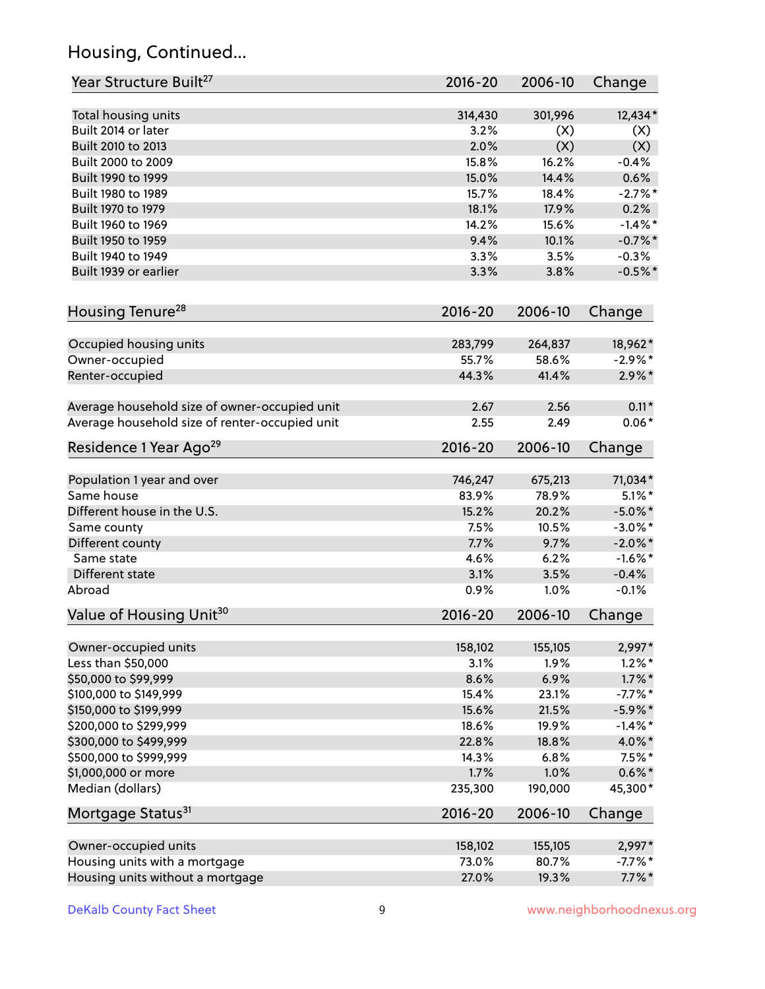## Housing, Continued...

| Year Structure Built <sup>27</sup>             | 2016-20     | 2006-10 | Change     |
|------------------------------------------------|-------------|---------|------------|
| Total housing units                            | 314,430     | 301,996 | 12,434*    |
| Built 2014 or later                            | 3.2%        | (X)     | (X)        |
| Built 2010 to 2013                             | 2.0%        | (X)     | (X)        |
| Built 2000 to 2009                             | 15.8%       | 16.2%   | $-0.4%$    |
| Built 1990 to 1999                             | 15.0%       | 14.4%   | 0.6%       |
| Built 1980 to 1989                             | 15.7%       | 18.4%   | $-2.7%$ *  |
| Built 1970 to 1979                             | 18.1%       | 17.9%   | 0.2%       |
| Built 1960 to 1969                             | 14.2%       | 15.6%   | $-1.4\%$ * |
| Built 1950 to 1959                             | 9.4%        | 10.1%   | $-0.7%$ *  |
| Built 1940 to 1949                             | 3.3%        | 3.5%    | $-0.3%$    |
| Built 1939 or earlier                          | 3.3%        | 3.8%    | $-0.5%$ *  |
| Housing Tenure <sup>28</sup>                   | $2016 - 20$ | 2006-10 | Change     |
| Occupied housing units                         | 283,799     | 264,837 | 18,962*    |
| Owner-occupied                                 | 55.7%       | 58.6%   | $-2.9\%$ * |
| Renter-occupied                                | 44.3%       | 41.4%   | $2.9\%*$   |
| Average household size of owner-occupied unit  | 2.67        | 2.56    | $0.11*$    |
| Average household size of renter-occupied unit | 2.55        | 2.49    | $0.06*$    |
| Residence 1 Year Ago <sup>29</sup>             | 2016-20     | 2006-10 | Change     |
| Population 1 year and over                     | 746,247     | 675,213 | 71,034*    |
| Same house                                     | 83.9%       | 78.9%   | $5.1\%$ *  |
| Different house in the U.S.                    | 15.2%       | 20.2%   | $-5.0\%$ * |
| Same county                                    | 7.5%        | 10.5%   | $-3.0\%$ * |
| Different county                               | 7.7%        | 9.7%    | $-2.0\%$ * |
| Same state                                     | 4.6%        | 6.2%    | $-1.6\%$ * |
| Different state                                | 3.1%        | 3.5%    | $-0.4%$    |
| Abroad                                         | 0.9%        | 1.0%    | $-0.1%$    |
| Value of Housing Unit <sup>30</sup>            | 2016-20     | 2006-10 | Change     |
| Owner-occupied units                           | 158,102     | 155,105 | 2,997*     |
| Less than \$50,000                             | 3.1%        | 1.9%    | $1.2\%$ *  |
| \$50,000 to \$99,999                           | 8.6%        | 6.9%    | $1.7\%$ *  |
| \$100,000 to \$149,999                         | 15.4%       | 23.1%   | $-7.7\%$ * |
| \$150,000 to \$199,999                         | 15.6%       | 21.5%   | $-5.9\%$ * |
| \$200,000 to \$299,999                         | 18.6%       | 19.9%   | $-1.4\%$ * |
| \$300,000 to \$499,999                         | 22.8%       | 18.8%   | 4.0%*      |
| \$500,000 to \$999,999                         | 14.3%       | 6.8%    | $7.5\%$ *  |
| \$1,000,000 or more                            | 1.7%        | 1.0%    | $0.6\% *$  |
| Median (dollars)                               | 235,300     | 190,000 | 45,300*    |
| Mortgage Status <sup>31</sup>                  | 2016-20     | 2006-10 | Change     |
| Owner-occupied units                           | 158,102     | 155,105 | 2,997*     |
| Housing units with a mortgage                  | 73.0%       | 80.7%   | $-7.7%$ *  |
| Housing units without a mortgage               | 27.0%       | 19.3%   | $7.7\%$ *  |
|                                                |             |         |            |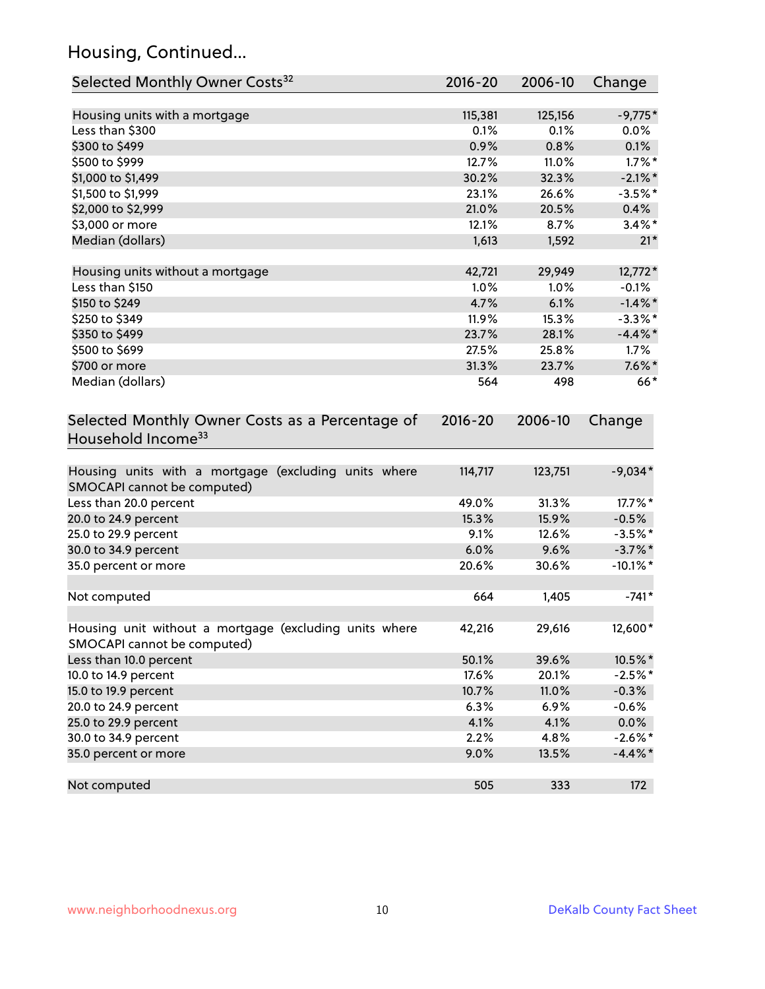## Housing, Continued...

| Selected Monthly Owner Costs <sup>32</sup>                                            | $2016 - 20$ | 2006-10 | Change      |
|---------------------------------------------------------------------------------------|-------------|---------|-------------|
| Housing units with a mortgage                                                         | 115,381     | 125,156 | $-9,775*$   |
| Less than \$300                                                                       | 0.1%        | 0.1%    | $0.0\%$     |
| \$300 to \$499                                                                        | 0.9%        | 0.8%    | 0.1%        |
| \$500 to \$999                                                                        | 12.7%       | 11.0%   | $1.7\%$ *   |
| \$1,000 to \$1,499                                                                    | 30.2%       | 32.3%   | $-2.1\%$ *  |
| \$1,500 to \$1,999                                                                    | 23.1%       | 26.6%   | $-3.5%$ *   |
| \$2,000 to \$2,999                                                                    | 21.0%       | 20.5%   | 0.4%        |
| \$3,000 or more                                                                       | 12.1%       | 8.7%    | $3.4\%$ *   |
| Median (dollars)                                                                      | 1,613       | 1,592   | $21*$       |
| Housing units without a mortgage                                                      | 42,721      | 29,949  | 12,772*     |
| Less than \$150                                                                       | 1.0%        | 1.0%    | $-0.1%$     |
| \$150 to \$249                                                                        | 4.7%        | 6.1%    | $-1.4\%$ *  |
| \$250 to \$349                                                                        | 11.9%       | 15.3%   | $-3.3\%$ *  |
| \$350 to \$499                                                                        | 23.7%       | 28.1%   | $-4.4\%$ *  |
| \$500 to \$699                                                                        | 27.5%       | 25.8%   | 1.7%        |
| \$700 or more                                                                         | 31.3%       | 23.7%   | $7.6\%$ *   |
| Median (dollars)                                                                      | 564         | 498     | $66*$       |
| Selected Monthly Owner Costs as a Percentage of<br>Household Income <sup>33</sup>     | $2016 - 20$ | 2006-10 | Change      |
| Housing units with a mortgage (excluding units where<br>SMOCAPI cannot be computed)   | 114,717     | 123,751 | $-9,034*$   |
| Less than 20.0 percent                                                                | 49.0%       | 31.3%   | 17.7%*      |
| 20.0 to 24.9 percent                                                                  | 15.3%       | 15.9%   | $-0.5%$     |
| 25.0 to 29.9 percent                                                                  | 9.1%        | 12.6%   | $-3.5%$ *   |
| 30.0 to 34.9 percent                                                                  | 6.0%        | 9.6%    | $-3.7\%$ *  |
| 35.0 percent or more                                                                  | 20.6%       | 30.6%   | $-10.1\%$ * |
| Not computed                                                                          | 664         | 1,405   | $-741*$     |
| Housing unit without a mortgage (excluding units where<br>SMOCAPI cannot be computed) | 42,216      | 29,616  | 12,600*     |
| Less than 10.0 percent                                                                | 50.1%       | 39.6%   | 10.5%*      |
| 10.0 to 14.9 percent                                                                  | 17.6%       | 20.1%   | $-2.5%$ *   |
| 15.0 to 19.9 percent                                                                  | 10.7%       | 11.0%   | $-0.3%$     |
| 20.0 to 24.9 percent                                                                  | 6.3%        | 6.9%    | $-0.6%$     |
| 25.0 to 29.9 percent                                                                  | 4.1%        | 4.1%    | $0.0\%$     |
| 30.0 to 34.9 percent                                                                  | 2.2%        | 4.8%    | $-2.6\%$ *  |
| 35.0 percent or more                                                                  | 9.0%        | 13.5%   | $-4.4\%$ *  |
| Not computed                                                                          | 505         | 333     | 172         |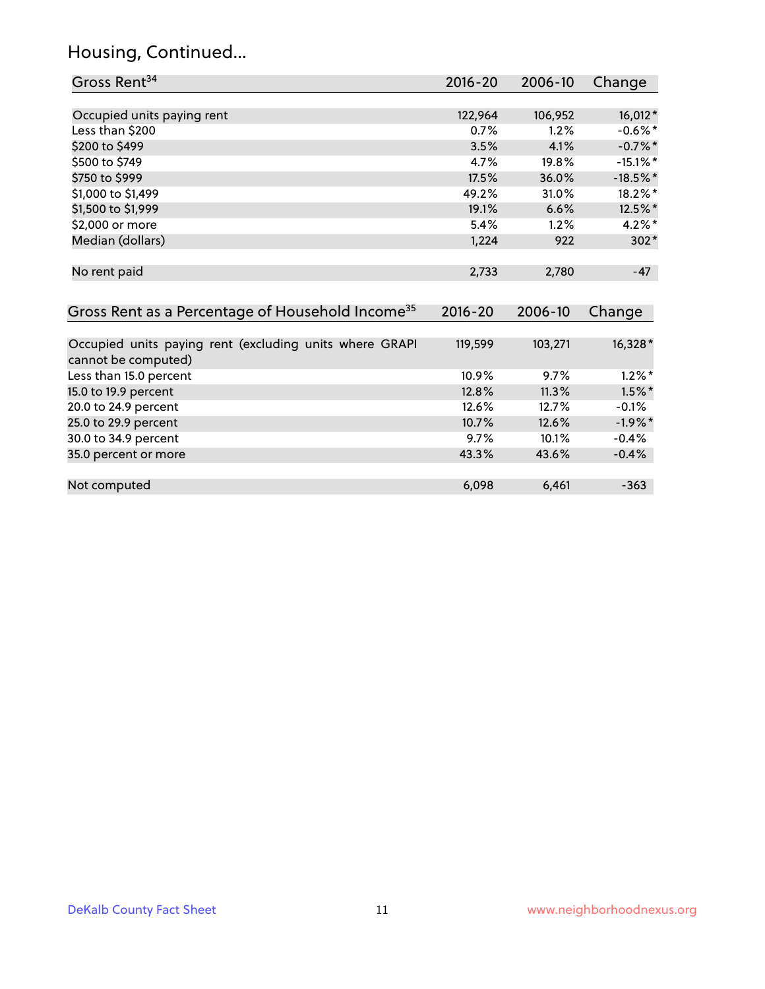## Housing, Continued...

| Gross Rent <sup>34</sup>                                                       | 2016-20     | $2006 - 10$ | Change      |
|--------------------------------------------------------------------------------|-------------|-------------|-------------|
|                                                                                |             |             |             |
| Occupied units paying rent                                                     | 122,964     | 106,952     | 16,012*     |
| Less than \$200                                                                | 0.7%        | 1.2%        | $-0.6%$ *   |
| \$200 to \$499                                                                 | 3.5%        | 4.1%        | $-0.7%$ *   |
| \$500 to \$749                                                                 | 4.7%        | 19.8%       | $-15.1\%$ * |
| \$750 to \$999                                                                 | 17.5%       | 36.0%       | $-18.5\%$ * |
| \$1,000 to \$1,499                                                             | 49.2%       | 31.0%       | 18.2%*      |
| \$1,500 to \$1,999                                                             | 19.1%       | 6.6%        | 12.5%*      |
| \$2,000 or more                                                                | 5.4%        | 1.2%        | $4.2\%$ *   |
| Median (dollars)                                                               | 1,224       | 922         | $302*$      |
| No rent paid                                                                   | 2,733       | 2,780       | $-47$       |
| Gross Rent as a Percentage of Household Income <sup>35</sup>                   | $2016 - 20$ | 2006-10     | Change      |
| Occupied units paying rent (excluding units where GRAPI<br>cannot be computed) | 119,599     | 103,271     | 16,328*     |
| Less than 15.0 percent                                                         | 10.9%       | 9.7%        | $1.2\%$ *   |
| 15.0 to 19.9 percent                                                           | 12.8%       | 11.3%       | $1.5%$ *    |
| 20.0 to 24.9 percent                                                           | 12.6%       | 12.7%       | $-0.1%$     |
| 25.0 to 29.9 percent                                                           | 10.7%       | 12.6%       | $-1.9\%$ *  |
| 30.0 to 34.9 percent                                                           | 9.7%        | 10.1%       | $-0.4%$     |
| 35.0 percent or more                                                           | 43.3%       | 43.6%       | $-0.4%$     |
| Not computed                                                                   | 6,098       | 6,461       | $-363$      |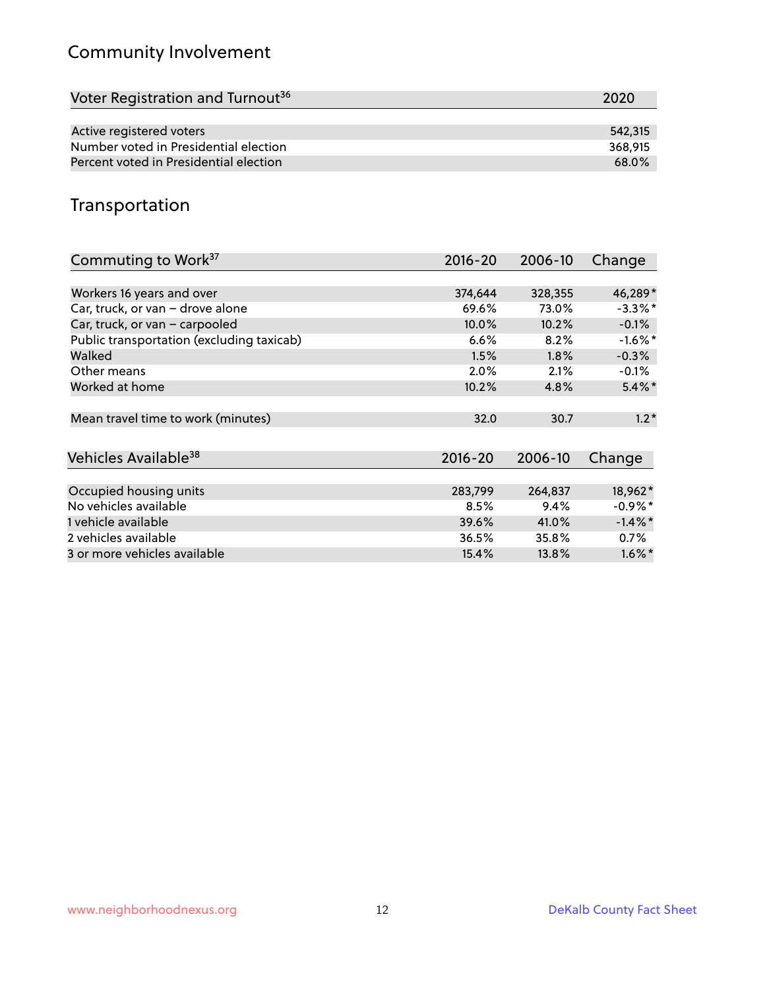## Community Involvement

| Voter Registration and Turnout <sup>36</sup> | 2020    |
|----------------------------------------------|---------|
|                                              |         |
| Active registered voters                     | 542,315 |
| Number voted in Presidential election        | 368.915 |
| Percent voted in Presidential election       | 68.0%   |

## Transportation

| Commuting to Work <sup>37</sup>           | 2016-20     | 2006-10 | Change     |
|-------------------------------------------|-------------|---------|------------|
|                                           |             |         |            |
| Workers 16 years and over                 | 374,644     | 328,355 | 46,289*    |
| Car, truck, or van - drove alone          | 69.6%       | 73.0%   | $-3.3\%$ * |
| Car, truck, or van - carpooled            | 10.0%       | 10.2%   | $-0.1%$    |
| Public transportation (excluding taxicab) | 6.6%        | 8.2%    | $-1.6\%$ * |
| Walked                                    | 1.5%        | 1.8%    | $-0.3%$    |
| Other means                               | $2.0\%$     | 2.1%    | $-0.1\%$   |
| Worked at home                            | 10.2%       | 4.8%    | $5.4\%$ *  |
| Mean travel time to work (minutes)        | 32.0        | 30.7    | $1.2*$     |
| Vehicles Available <sup>38</sup>          | $2016 - 20$ | 2006-10 | Change     |
| Occupied housing units                    | 283,799     | 264,837 | 18,962*    |
| No vehicles available                     | 8.5%        | 9.4%    | $-0.9\%$ * |
| 1 vehicle available                       | 39.6%       | 41.0%   | $-1.4\%$ * |
| 2 vehicles available                      | 36.5%       | 35.8%   | $0.7\%$    |
| 3 or more vehicles available              | 15.4%       | 13.8%   | $1.6\%$ *  |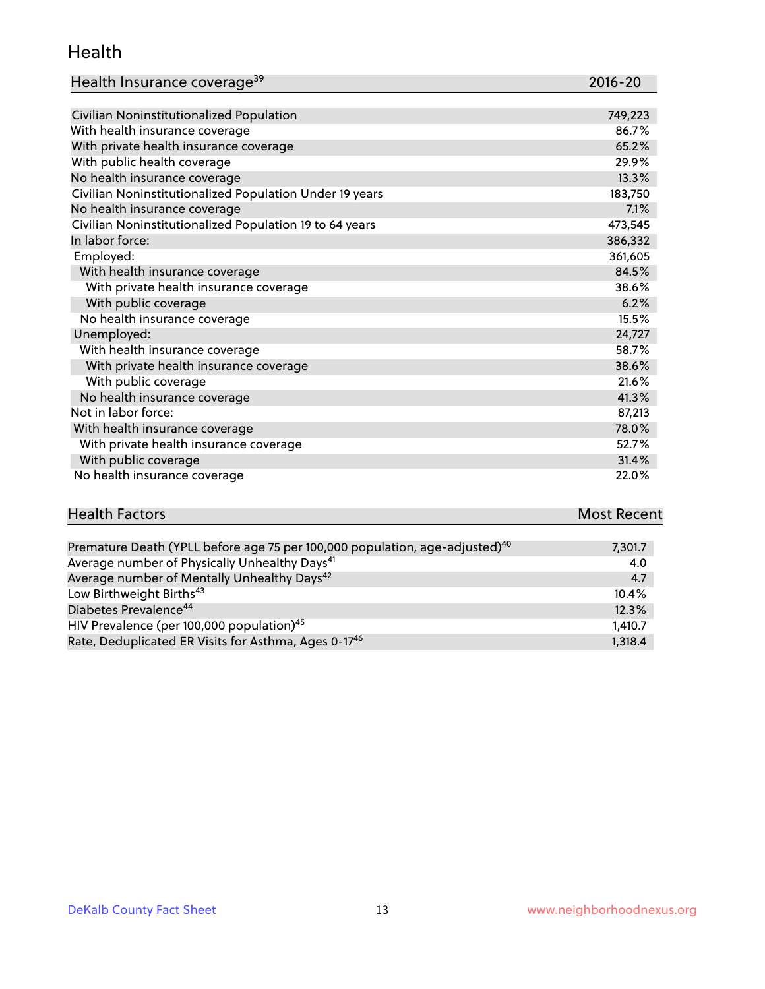#### Health

| Health Insurance coverage <sup>39</sup> | 2016-20 |
|-----------------------------------------|---------|
|                                         |         |

| Civilian Noninstitutionalized Population                | 749,223 |
|---------------------------------------------------------|---------|
| With health insurance coverage                          | 86.7%   |
| With private health insurance coverage                  | 65.2%   |
| With public health coverage                             | 29.9%   |
| No health insurance coverage                            | 13.3%   |
| Civilian Noninstitutionalized Population Under 19 years | 183,750 |
| No health insurance coverage                            | 7.1%    |
| Civilian Noninstitutionalized Population 19 to 64 years | 473,545 |
| In labor force:                                         | 386,332 |
| Employed:                                               | 361,605 |
| With health insurance coverage                          | 84.5%   |
| With private health insurance coverage                  | 38.6%   |
| With public coverage                                    | 6.2%    |
| No health insurance coverage                            | 15.5%   |
| Unemployed:                                             | 24,727  |
| With health insurance coverage                          | 58.7%   |
| With private health insurance coverage                  | 38.6%   |
| With public coverage                                    | 21.6%   |
| No health insurance coverage                            | 41.3%   |
| Not in labor force:                                     | 87,213  |
| With health insurance coverage                          | 78.0%   |
| With private health insurance coverage                  | 52.7%   |
| With public coverage                                    | 31.4%   |
| No health insurance coverage                            | 22.0%   |

## **Health Factors Most Recent**

| Premature Death (YPLL before age 75 per 100,000 population, age-adjusted) <sup>40</sup> | 7,301.7 |
|-----------------------------------------------------------------------------------------|---------|
| Average number of Physically Unhealthy Days <sup>41</sup>                               | 4.0     |
| Average number of Mentally Unhealthy Days <sup>42</sup>                                 | 4.7     |
| Low Birthweight Births <sup>43</sup>                                                    | 10.4%   |
| Diabetes Prevalence <sup>44</sup>                                                       | 12.3%   |
| HIV Prevalence (per 100,000 population) <sup>45</sup>                                   | 1,410.7 |
| Rate, Deduplicated ER Visits for Asthma, Ages 0-17 <sup>46</sup>                        | 1,318.4 |